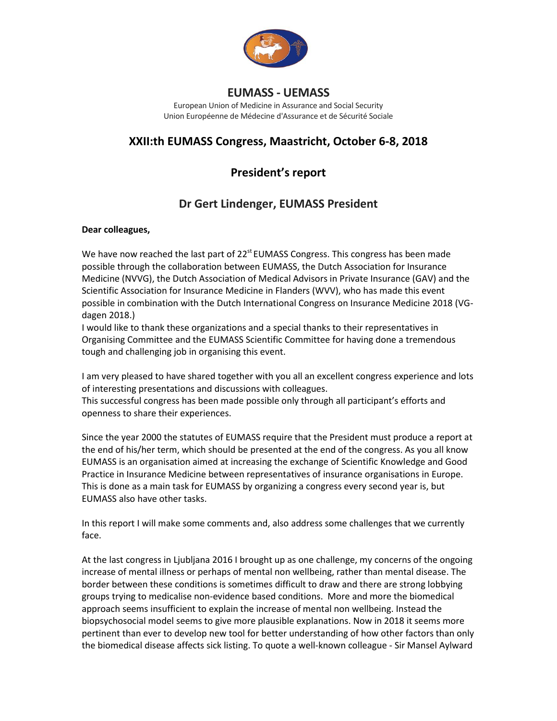

European Union of Medicine in Assurance and Social Security Union Européenne de Médecine d'Assurance et de Sécurité Sociale

# **XXII:th EUMASS Congress, Maastricht, October 6-8, 2018**

# **President's report**

# **Dr Gert Lindenger, EUMASS President**

## **Dear colleagues,**

We have now reached the last part of 22<sup>st</sup> EUMASS Congress. This congress has been made possible through the collaboration between EUMASS, the Dutch Association for Insurance Medicine (NVVG), the Dutch Association of Medical Advisors in Private Insurance (GAV) and the Scientific Association for Insurance Medicine in Flanders (WVV), who has made this event possible in combination with the Dutch International Congress on Insurance Medicine 2018 (VGdagen 2018.)

I would like to thank these organizations and a special thanks to their representatives in Organising Committee and the EUMASS Scientific Committee for having done a tremendous tough and challenging job in organising this event.

I am very pleased to have shared together with you all an excellent congress experience and lots of interesting presentations and discussions with colleagues.

This successful congress has been made possible only through all participant's efforts and openness to share their experiences.

Since the year 2000 the statutes of EUMASS require that the President must produce a report at the end of his/her term, which should be presented at the end of the congress. As you all know EUMASS is an organisation aimed at increasing the exchange of Scientific Knowledge and Good Practice in Insurance Medicine between representatives of insurance organisations in Europe. This is done as a main task for EUMASS by organizing a congress every second year is, but EUMASS also have other tasks.

In this report I will make some comments and, also address some challenges that we currently face.

At the last congress in Ljubljana 2016 I brought up as one challenge, my concerns of the ongoing increase of mental illness or perhaps of mental non wellbeing, rather than mental disease. The border between these conditions is sometimes difficult to draw and there are strong lobbying groups trying to medicalise non-evidence based conditions. More and more the biomedical approach seems insufficient to explain the increase of mental non wellbeing. Instead the biopsychosocial model seems to give more plausible explanations. Now in 2018 it seems more pertinent than ever to develop new tool for better understanding of how other factors than only the biomedical disease affects sick listing. To quote a well-known colleague - Sir Mansel Aylward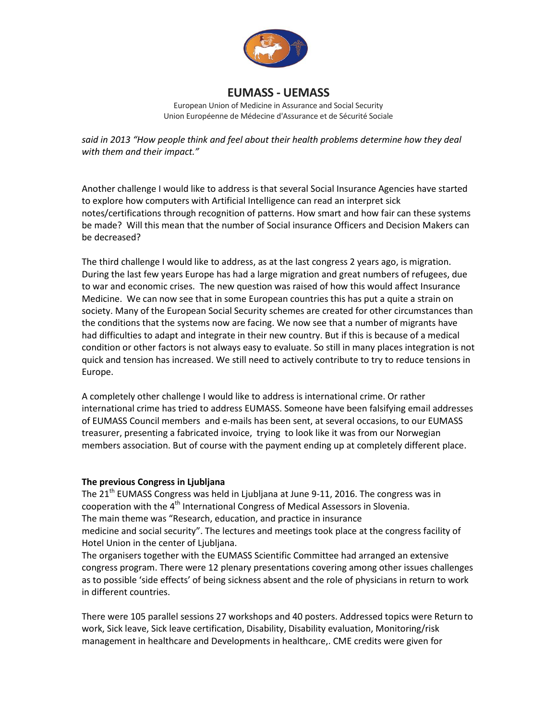

European Union of Medicine in Assurance and Social Security Union Européenne de Médecine d'Assurance et de Sécurité Sociale

*said in 2013 "How people think and feel about their health problems determine how they deal with them and their impact."*

Another challenge I would like to address is that several Social Insurance Agencies have started to explore how computers with Artificial Intelligence can read an interpret sick notes/certifications through recognition of patterns. How smart and how fair can these systems be made? Will this mean that the number of Social insurance Officers and Decision Makers can be decreased?

The third challenge I would like to address, as at the last congress 2 years ago, is migration. During the last few years Europe has had a large migration and great numbers of refugees, due to war and economic crises. The new question was raised of how this would affect Insurance Medicine. We can now see that in some European countries this has put a quite a strain on society. Many of the European Social Security schemes are created for other circumstances than the conditions that the systems now are facing. We now see that a number of migrants have had difficulties to adapt and integrate in their new country. But if this is because of a medical condition or other factors is not always easy to evaluate. So still in many places integration is not quick and tension has increased. We still need to actively contribute to try to reduce tensions in Europe.

A completely other challenge I would like to address is international crime. Or rather international crime has tried to address EUMASS. Someone have been falsifying email addresses of EUMASS Council members and e-mails has been sent, at several occasions, to our EUMASS treasurer, presenting a fabricated invoice, trying to look like it was from our Norwegian members association. But of course with the payment ending up at completely different place.

## **The previous Congress in Ljubljana**

The 21<sup>th</sup> EUMASS Congress was held in Ljubljana at June 9-11, 2016. The congress was in cooperation with the 4<sup>th</sup> International Congress of Medical Assessors in Slovenia. The main theme was "Research, education, and practice in insurance medicine and social security". The lectures and meetings took place at the congress facility of Hotel Union in the center of Ljubljana.

The organisers together with the EUMASS Scientific Committee had arranged an extensive congress program. There were 12 plenary presentations covering among other issues challenges as to possible 'side effects' of being sickness absent and the role of physicians in return to work in different countries.

There were 105 parallel sessions 27 workshops and 40 posters. Addressed topics were Return to work, Sick leave, Sick leave certification, Disability, Disability evaluation, Monitoring/risk management in healthcare and Developments in healthcare,. CME credits were given for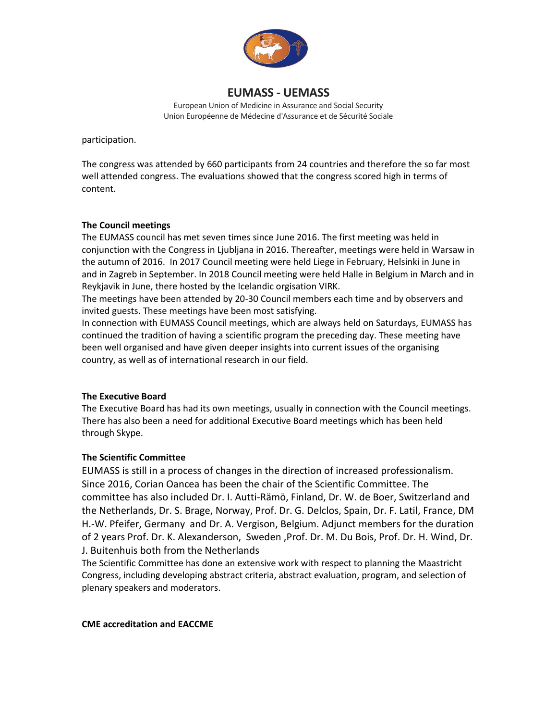

European Union of Medicine in Assurance and Social Security Union Européenne de Médecine d'Assurance et de Sécurité Sociale

participation.

The congress was attended by 660 participants from 24 countries and therefore the so far most well attended congress. The evaluations showed that the congress scored high in terms of content.

#### **The Council meetings**

The EUMASS council has met seven times since June 2016. The first meeting was held in conjunction with the Congress in Ljubljana in 2016. Thereafter, meetings were held in Warsaw in the autumn of 2016. In 2017 Council meeting were held Liege in February, Helsinki in June in and in Zagreb in September. In 2018 Council meeting were held Halle in Belgium in March and in Reykjavik in June, there hosted by the Icelandic orgisation VIRK.

The meetings have been attended by 20-30 Council members each time and by observers and invited guests. These meetings have been most satisfying.

In connection with EUMASS Council meetings, which are always held on Saturdays, EUMASS has continued the tradition of having a scientific program the preceding day. These meeting have been well organised and have given deeper insights into current issues of the organising country, as well as of international research in our field.

## **The Executive Board**

The Executive Board has had its own meetings, usually in connection with the Council meetings. There has also been a need for additional Executive Board meetings which has been held through Skype.

## **The Scientific Committee**

EUMASS is still in a process of changes in the direction of increased professionalism. Since 2016, Corian Oancea has been the chair of the Scientific Committee. The committee has also included Dr. I. Autti-Rämö, Finland, Dr. W. de Boer, Switzerland and the Netherlands, Dr. S. Brage, Norway, Prof. Dr. G. Delclos, Spain, Dr. F. Latil, France, DM H.-W. Pfeifer, Germany and Dr. A. Vergison, Belgium. Adjunct members for the duration of 2 years Prof. Dr. K. Alexanderson, Sweden ,Prof. Dr. M. Du Bois, Prof. Dr. H. Wind, Dr. J. Buitenhuis both from the Netherlands

The Scientific Committee has done an extensive work with respect to planning the Maastricht Congress, including developing abstract criteria, abstract evaluation, program, and selection of plenary speakers and moderators.

**CME accreditation and EACCME**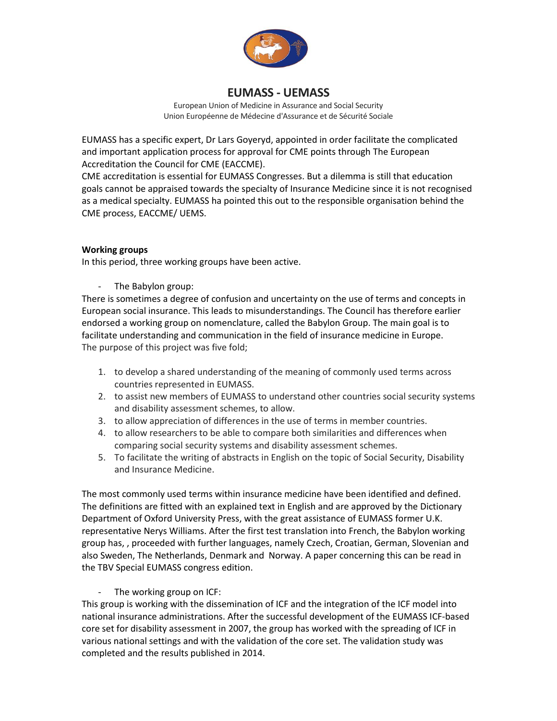

European Union of Medicine in Assurance and Social Security Union Européenne de Médecine d'Assurance et de Sécurité Sociale

EUMASS has a specific expert, Dr Lars Goyeryd, appointed in order facilitate the complicated and important application process for approval for CME points through The European Accreditation the Council for CME (EACCME).

CME accreditation is essential for EUMASS Congresses. But a dilemma is still that education goals cannot be appraised towards the specialty of Insurance Medicine since it is not recognised as a medical specialty. EUMASS ha pointed this out to the responsible organisation behind the CME process, EACCME/ UEMS.

## **Working groups**

In this period, three working groups have been active.

The Babylon group:

There is sometimes a degree of confusion and uncertainty on the use of terms and concepts in European social insurance. This leads to misunderstandings. The Council has therefore earlier endorsed a working group on nomenclature, called the Babylon Group. The main goal is to facilitate understanding and communication in the field of insurance medicine in Europe. The purpose of this project was five fold;

- 1. to develop a shared understanding of the meaning of commonly used terms across countries represented in EUMASS.
- 2. to assist new members of EUMASS to understand other countries social security systems and disability assessment schemes, to allow.
- 3. to allow appreciation of differences in the use of terms in member countries.
- 4. to allow researchers to be able to compare both similarities and differences when comparing social security systems and disability assessment schemes.
- 5. To facilitate the writing of abstracts in English on the topic of Social Security, Disability and Insurance Medicine.

The most commonly used terms within insurance medicine have been identified and defined. The definitions are fitted with an explained text in English and are approved by the Dictionary Department of Oxford University Press, with the great assistance of EUMASS former U.K. representative Nerys Williams. After the first test translation into French, the Babylon working group has, , proceeded with further languages, namely Czech, Croatian, German, Slovenian and also Sweden, The Netherlands, Denmark and Norway. A paper concerning this can be read in the TBV Special EUMASS congress edition.

## - The working group on ICF:

This group is working with the dissemination of ICF and the integration of the ICF model into national insurance administrations. After the successful development of the EUMASS ICF-based core set for disability assessment in 2007, the group has worked with the spreading of ICF in various national settings and with the validation of the core set. The validation study was completed and the results published in 2014.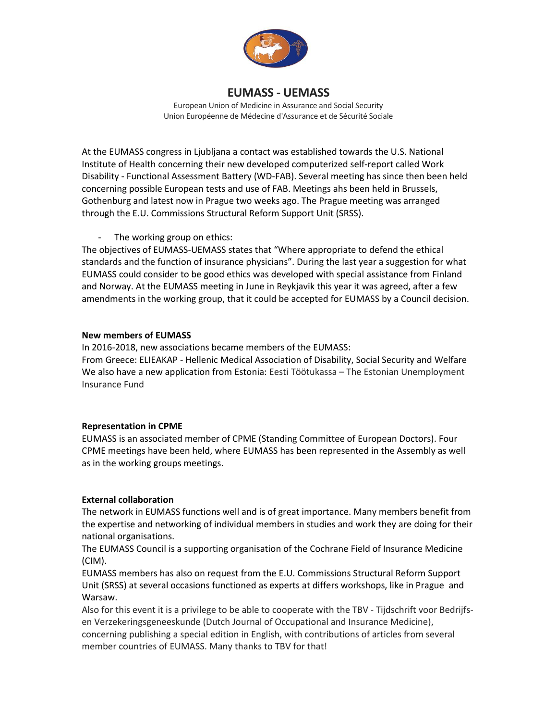

European Union of Medicine in Assurance and Social Security Union Européenne de Médecine d'Assurance et de Sécurité Sociale

At the EUMASS congress in Ljubljana a contact was established towards the U.S. National Institute of Health concerning their new developed computerized self-report called Work Disability - Functional Assessment Battery (WD-FAB). Several meeting has since then been held concerning possible European tests and use of FAB. Meetings ahs been held in Brussels, Gothenburg and latest now in Prague two weeks ago. The Prague meeting was arranged through the E.U. Commissions Structural Reform Support Unit (SRSS).

## - The working group on ethics:

The objectives of EUMASS-UEMASS states that "Where appropriate to defend the ethical standards and the function of insurance physicians". During the last year a suggestion for what EUMASS could consider to be good ethics was developed with special assistance from Finland and Norway. At the EUMASS meeting in June in Reykjavik this year it was agreed, after a few amendments in the working group, that it could be accepted for EUMASS by a Council decision.

#### **New members of EUMASS**

In 2016-2018, new associations became members of the EUMASS: From Greece: ELIEAKAP - Hellenic Medical Association of Disability, Social Security and Welfare We also have a new application from Estonia: Eesti Töötukassa – The Estonian Unemployment Insurance Fund

## **Representation in CPME**

EUMASS is an associated member of CPME (Standing Committee of European Doctors). Four CPME meetings have been held, where EUMASS has been represented in the Assembly as well as in the working groups meetings.

## **External collaboration**

The network in EUMASS functions well and is of great importance. Many members benefit from the expertise and networking of individual members in studies and work they are doing for their national organisations.

The EUMASS Council is a supporting organisation of the Cochrane Field of Insurance Medicine (CIM).

EUMASS members has also on request from the E.U. Commissions Structural Reform Support Unit (SRSS) at several occasions functioned as experts at differs workshops, like in Prague and Warsaw.

Also for this event it is a privilege to be able to cooperate with the TBV - Tijdschrift voor Bedrijfsen Verzekeringsgeneeskunde (Dutch Journal of Occupational and Insurance Medicine), concerning publishing a special edition in English, with contributions of articles from several member countries of EUMASS. Many thanks to TBV for that!